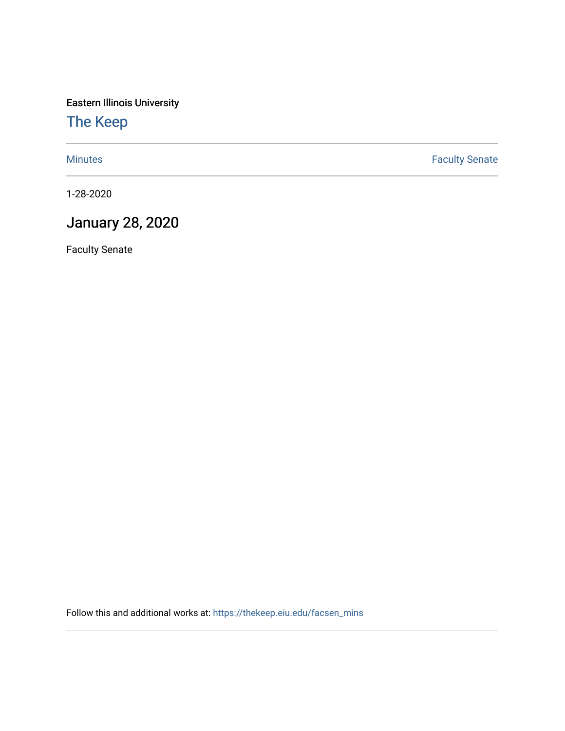Eastern Illinois University

[The Keep](https://thekeep.eiu.edu/) 

[Minutes](https://thekeep.eiu.edu/facsen_mins) **Faculty Senate** 

1-28-2020

## January 28, 2020

Faculty Senate

Follow this and additional works at: [https://thekeep.eiu.edu/facsen\\_mins](https://thekeep.eiu.edu/facsen_mins?utm_source=thekeep.eiu.edu%2Ffacsen_mins%2F1132&utm_medium=PDF&utm_campaign=PDFCoverPages)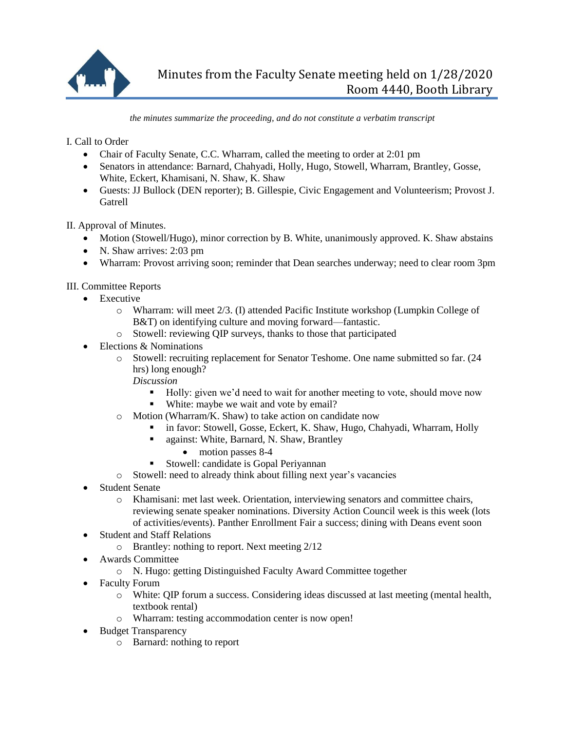

*the minutes summarize the proceeding, and do not constitute a verbatim transcript*

I. Call to Order

- Chair of Faculty Senate, C.C. Wharram, called the meeting to order at 2:01 pm
- Senators in attendance: Barnard, Chahyadi, Holly, Hugo, Stowell, Wharram, Brantley, Gosse, White, Eckert, Khamisani, N. Shaw, K. Shaw
- Guests: JJ Bullock (DEN reporter); B. Gillespie, Civic Engagement and Volunteerism; Provost J. **Gatrell**

II. Approval of Minutes.

- Motion (Stowell/Hugo), minor correction by B. White, unanimously approved. K. Shaw abstains
- N. Shaw arrives: 2:03 pm
- Wharram: Provost arriving soon; reminder that Dean searches underway; need to clear room 3pm

III. Committee Reports

- Executive
	- o Wharram: will meet 2/3. (I) attended Pacific Institute workshop (Lumpkin College of B&T) on identifying culture and moving forward—fantastic.
	- o Stowell: reviewing QIP surveys, thanks to those that participated
- Elections & Nominations
	- o Stowell: recruiting replacement for Senator Teshome. One name submitted so far. (24 hrs) long enough?
		- *Discussion*
			- Holly: given we'd need to wait for another meeting to vote, should move now
			- White: maybe we wait and vote by email?
	- o Motion (Wharram/K. Shaw) to take action on candidate now
		- in favor: Stowell, Gosse, Eckert, K. Shaw, Hugo, Chahyadi, Wharram, Holly
		- **against: White, Barnard, N. Shaw, Brantley** 
			- motion passes 8-4
		- Stowell: candidate is Gopal Periyannan
	- o Stowell: need to already think about filling next year's vacancies
- Student Senate
	- o Khamisani: met last week. Orientation, interviewing senators and committee chairs, reviewing senate speaker nominations. Diversity Action Council week is this week (lots of activities/events). Panther Enrollment Fair a success; dining with Deans event soon
- Student and Staff Relations
	- o Brantley: nothing to report. Next meeting 2/12
- Awards Committee
	- o N. Hugo: getting Distinguished Faculty Award Committee together
- Faculty Forum
	- o White: QIP forum a success. Considering ideas discussed at last meeting (mental health, textbook rental)
	- o Wharram: testing accommodation center is now open!
- Budget Transparency
	- o Barnard: nothing to report